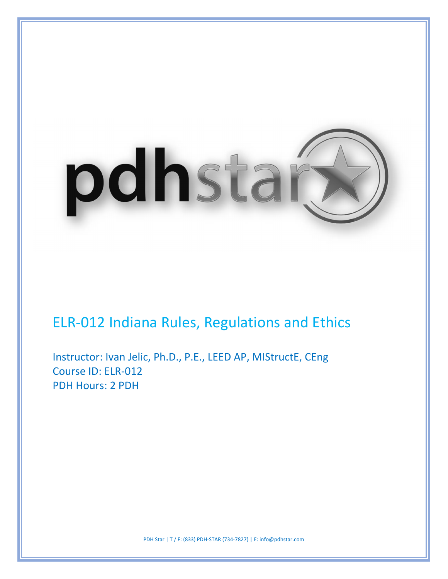# pdhstar

# ELR‐012 Indiana Rules, Regulations and Ethics

Instructor: Ivan Jelic, Ph.D., P.E., LEED AP, MIStructE, CEng Course ID: ELR‐012 PDH Hours: 2 PDH

PDH Star | T / F: (833) PDH‐STAR (734‐7827) | E: info@pdhstar.com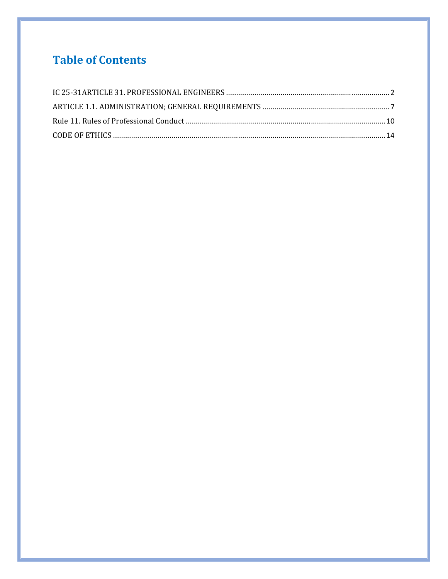# **Table of Contents**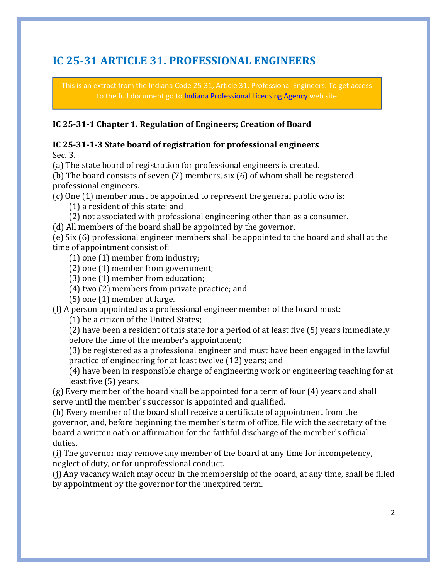# **IC 25‐31 ARTICLE 31. PROFESSIONAL ENGINEERS**

This is an extract from the Indiana Code 25‐31, Article 31: Professional Engineers. To get access to the full document go to [Indiana Professional Licensing Agency](https://www.in.gov/pla/3878.htm) web site

# **IC 25‐31‐1 Chapter 1. Regulation of Engineers; Creation of Board**

#### **IC 25‐31‐1‐3 State board of registration for professional engineers** Sec. 3.

(a) The state board of registration for professional engineers is created.

(b) The board consists of seven (7) members, six (6) of whom shall be registered professional engineers.

(c) One (1) member must be appointed to represent the general public who is:

(1) a resident of this state; and

(2) not associated with professional engineering other than as a consumer.

(d) All members of the board shall be appointed by the governor.

(e) Six (6) professional engineer members shall be appointed to the board and shall at the time of appointment consist of:

(1) one (1) member from industry;

(2) one (1) member from government;

(3) one (1) member from education;

(4) two (2) members from private practice; and

(5) one (1) member at large.

(f) A person appointed as a professional engineer member of the board must:

(1) be a citizen of the United States;

(2) have been a resident of this state for a period of at least five (5) years immediately before the time of the member's appointment;

(3) be registered as a professional engineer and must have been engaged in the lawful practice of engineering for at least twelve (12) years; and

(4) have been in responsible charge of engineering work or engineering teaching for at least five (5) years.

(g) Every member of the board shall be appointed for a term of four (4) years and shall serve until the member's successor is appointed and qualified.

(h) Every member of the board shall receive a certificate of appointment from the governor, and, before beginning the member's term of office, file with the secretary of the board a written oath or affirmation for the faithful discharge of the member's official duties.

(i) The governor may remove any member of the board at any time for incompetency, neglect of duty, or for unprofessional conduct.

(j) Any vacancy which may occur in the membership of the board, at any time, shall be filled by appointment by the governor for the unexpired term.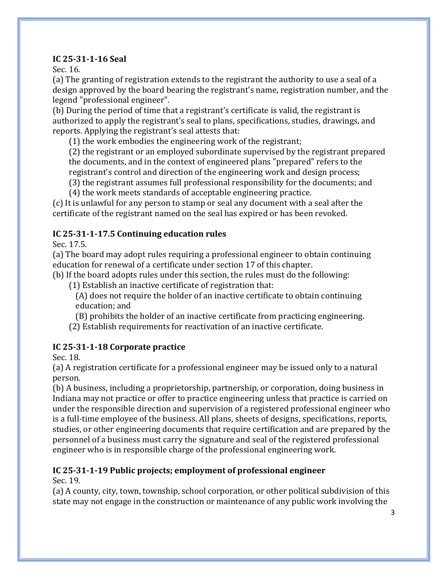# **IC 25‐31‐1‐16 Seal**

Sec. 16.

(a) The granting of registration extends to the registrant the authority to use a seal of a design approved by the board bearing the registrant's name, registration number, and the legend "professional engineer".

(b) During the period of time that a registrant's certificate is valid, the registrant is authorized to apply the registrant's seal to plans, specifications, studies, drawings, and reports. Applying the registrant's seal attests that:

(1) the work embodies the engineering work of the registrant;

(2) the registrant or an employed subordinate supervised by the registrant prepared the documents, and in the context of engineered plans "prepared" refers to the registrant's control and direction of the engineering work and design process;

(3) the registrant assumes full professional responsibility for the documents; and

(4) the work meets standards of acceptable engineering practice.

(c) It is unlawful for any person to stamp or seal any document with a seal after the certificate of the registrant named on the seal has expired or has been revoked.

# **IC 25‐31‐1‐17.5 Continuing education rules**

Sec. 17.5.

(a) The board may adopt rules requiring a professional engineer to obtain continuing education for renewal of a certificate under section 17 of this chapter.

(b) If the board adopts rules under this section, the rules must do the following:

(1) Establish an inactive certificate of registration that:

(A) does not require the holder of an inactive certificate to obtain continuing education; and

(B) prohibits the holder of an inactive certificate from practicing engineering.

(2) Establish requirements for reactivation of an inactive certificate.

# **IC 25‐31‐1‐18 Corporate practice**

Sec. 18.

(a) A registration certificate for a professional engineer may be issued only to a natural person.

(b) A business, including a proprietorship, partnership, or corporation, doing business in Indiana may not practice or offer to practice engineering unless that practice is carried on under the responsible direction and supervision of a registered professional engineer who is a full-time employee of the business. All plans, sheets of designs, specifications, reports, studies, or other engineering documents that require certification and are prepared by the personnel of a business must carry the signature and seal of the registered professional engineer who is in responsible charge of the professional engineering work.

# **IC 25‐31‐1‐19 Public projects; employment of professional engineer**

Sec. 19.

(a) A county, city, town, township, school corporation, or other political subdivision of this state may not engage in the construction or maintenance of any public work involving the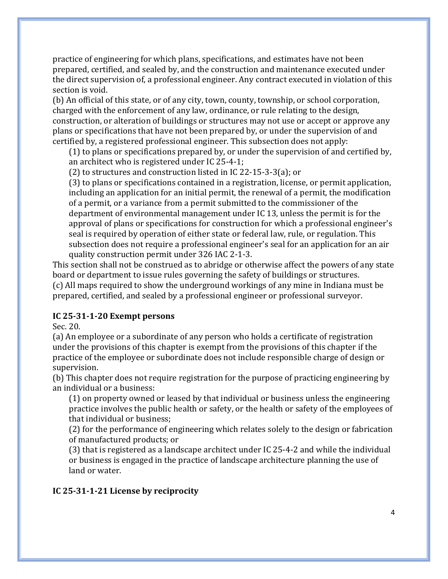practice of engineering for which plans, specifications, and estimates have not been prepared, certified, and sealed by, and the construction and maintenance executed under the direct supervision of, a professional engineer. Any contract executed in violation of this section is void.

(b) An official of this state, or of any city, town, county, township, or school corporation, charged with the enforcement of any law, ordinance, or rule relating to the design, construction, or alteration of buildings or structures may not use or accept or approve any plans or specifications that have not been prepared by, or under the supervision of and certified by, a registered professional engineer. This subsection does not apply:

(1) to plans or specifications prepared by, or under the supervision of and certified by, an architect who is registered under IC 25-4-1;

(2) to structures and construction listed in IC 22-15-3-3(a); or

(3) to plans or specifications contained in a registration, license, or permit application, including an application for an initial permit, the renewal of a permit, the modification of a permit, or a variance from a permit submitted to the commissioner of the department of environmental management under IC 13, unless the permit is for the approval of plans or specifications for construction for which a professional engineer's seal is required by operation of either state or federal law, rule, or regulation. This subsection does not require a professional engineer's seal for an application for an air quality construction permit under 326 IAC 2-1-3.

This section shall not be construed as to abridge or otherwise affect the powers of any state board or department to issue rules governing the safety of buildings or structures. (c) All maps required to show the underground workings of any mine in Indiana must be prepared, certified, and sealed by a professional engineer or professional surveyor.

#### **IC 25‐31‐1‐20 Exempt persons**

Sec. 20.

(a) An employee or a subordinate of any person who holds a certificate of registration under the provisions of this chapter is exempt from the provisions of this chapter if the practice of the employee or subordinate does not include responsible charge of design or supervision.

(b) This chapter does not require registration for the purpose of practicing engineering by an individual or a business:

(1) on property owned or leased by that individual or business unless the engineering practice involves the public health or safety, or the health or safety of the employees of that individual or business;

(2) for the performance of engineering which relates solely to the design or fabrication of manufactured products; or

(3) that is registered as a landscape architect under IC 25-4-2 and while the individual or business is engaged in the practice of landscape architecture planning the use of land or water.

# **IC 25‐31‐1‐21 License by reciprocity**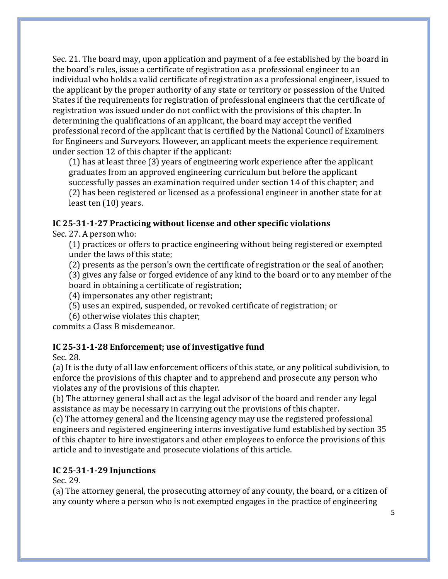Sec. 21. The board may, upon application and payment of a fee established by the board in the board's rules, issue a certificate of registration as a professional engineer to an individual who holds a valid certificate of registration as a professional engineer, issued to the applicant by the proper authority of any state or territory or possession of the United States if the requirements for registration of professional engineers that the certificate of registration was issued under do not conflict with the provisions of this chapter. In determining the qualifications of an applicant, the board may accept the verified professional record of the applicant that is certified by the National Council of Examiners for Engineers and Surveyors. However, an applicant meets the experience requirement under section 12 of this chapter if the applicant:

(1) has at least three (3) years of engineering work experience after the applicant graduates from an approved engineering curriculum but before the applicant successfully passes an examination required under section 14 of this chapter; and (2) has been registered or licensed as a professional engineer in another state for at least ten (10) years.

# **IC 25‐31‐1‐27 Practicing without license and other specific violations**

Sec. 27. A person who:

(1) practices or offers to practice engineering without being registered or exempted under the laws of this state;

(2) presents as the person's own the certificate of registration or the seal of another;

(3) gives any false or forged evidence of any kind to the board or to any member of the board in obtaining a certificate of registration;

(4) impersonates any other registrant;

(5) uses an expired, suspended, or revoked certificate of registration; or

(6) otherwise violates this chapter;

commits a Class B misdemeanor.

# **IC 25‐31‐1‐28 Enforcement; use of investigative fund**

Sec. 28.

(a) It is the duty of all law enforcement officers of this state, or any political subdivision, to enforce the provisions of this chapter and to apprehend and prosecute any person who violates any of the provisions of this chapter.

(b) The attorney general shall act as the legal advisor of the board and render any legal assistance as may be necessary in carrying out the provisions of this chapter.

(c) The attorney general and the licensing agency may use the registered professional engineers and registered engineering interns investigative fund established by section 35 of this chapter to hire investigators and other employees to enforce the provisions of this article and to investigate and prosecute violations of this article.

# **IC 25‐31‐1‐29 Injunctions**

Sec. 29.

(a) The attorney general, the prosecuting attorney of any county, the board, or a citizen of any county where a person who is not exempted engages in the practice of engineering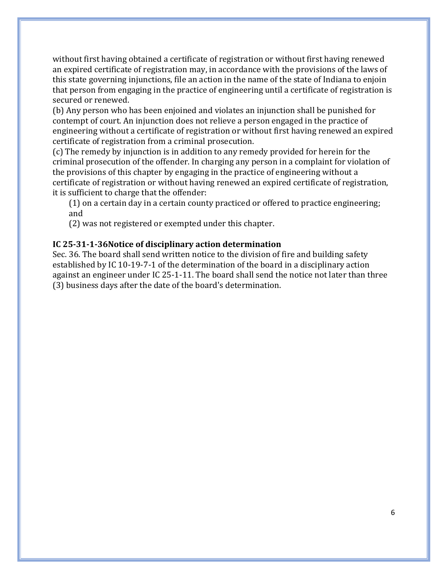without first having obtained a certificate of registration or without first having renewed an expired certificate of registration may, in accordance with the provisions of the laws of this state governing injunctions, file an action in the name of the state of Indiana to enjoin that person from engaging in the practice of engineering until a certificate of registration is secured or renewed.

(b) Any person who has been enjoined and violates an injunction shall be punished for contempt of court. An injunction does not relieve a person engaged in the practice of engineering without a certificate of registration or without first having renewed an expired certificate of registration from a criminal prosecution.

(c) The remedy by injunction is in addition to any remedy provided for herein for the criminal prosecution of the offender. In charging any person in a complaint for violation of the provisions of this chapter by engaging in the practice of engineering without a certificate of registration or without having renewed an expired certificate of registration, it is sufficient to charge that the offender:

(1) on a certain day in a certain county practiced or offered to practice engineering; and

(2) was not registered or exempted under this chapter.

# **IC 25‐31‐1‐36Notice of disciplinary action determination**

Sec. 36. The board shall send written notice to the division of fire and building safety established by IC 10-19-7-1 of the determination of the board in a disciplinary action against an engineer under IC 25-1-11. The board shall send the notice not later than three (3) business days after the date of the board's determination.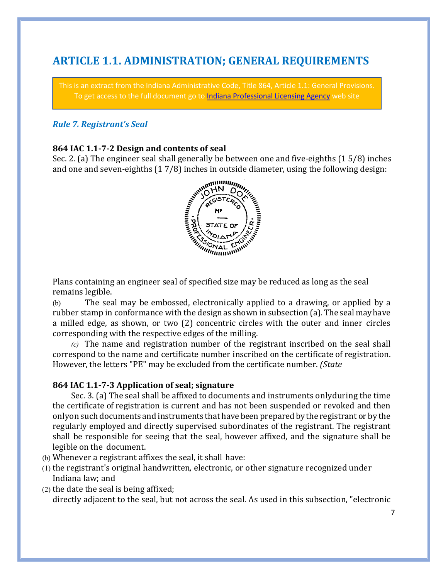# **ARTICLE 1.1. ADMINISTRATION; GENERAL REQUIREMENTS**

To get access to the full document go to [Indiana Professional Licensing Agency](https://www.in.gov/pla/3878.htm) web site

## *Rule 7. Registrant's Seal*

#### **864 IAC 1.1‐7‐2 Design and contents of seal**

Sec. 2. (a) The engineer seal shall generally be between one and five-eighths (1 5/8) inches



Plans containing an engineer seal of specified size may be reduced as long as the seal remains legible.

(b) The seal may be embossed, electronically applied to a drawing, or applied by a rubber stamp in conformance with the design as shown in subsection (a). The seal may have a milled edge, as shown, or two (2) concentric circles with the outer and inner circles corresponding with the respective edges of the milling.

*(c)* The name and registration number of the registrant inscribed on the seal shall correspond to the name and certificate number inscribed on the certificate of registration. However, the letters "PE" may be excluded from the certificate number. *(State* 

#### **864 IAC 1.1‐7‐3 Application of seal; signature**

Sec. 3. (a) The seal shall be affixed to documents and instruments onlyduring the time the certificate of registration is current and has not been suspended or revoked and then onlyon such documents and instruments that have been prepared by the registrant or by the regularly employed and directly supervised subordinates of the registrant. The registrant shall be responsible for seeing that the seal, however affixed, and the signature shall be legible on the document.

- (b) Whenever a registrant affixes the seal, it shall have:
- (1) the registrant's original handwritten, electronic, or other signature recognized under Indiana law; and
- (2) the date the seal is being affixed;

directly adjacent to the seal, but not across the seal. As used in this subsection, "electronic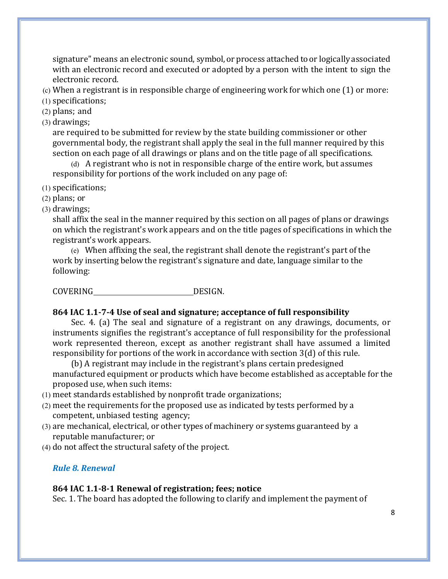signature" means an electronic sound, symbol, or process attached to or logically associated with an electronic record and executed or adopted by a person with the intent to sign the electronic record.

(c) When a registrant is in responsible charge of engineering work for which one (1) or more:

- (1) specifications;
- (2) plans; and
- (3) drawings;

are required to be submitted for review by the state building commissioner or other governmental body, the registrant shall apply the seal in the full manner required by this section on each page of all drawings or plans and on the title page of all specifications.

(d) A registrant who is not in responsible charge of the entire work, but assumes responsibility for portions of the work included on any page of:

(1) specifications;

- (2) plans; or
- (3) drawings;

shall affix the seal in the manner required by this section on all pages of plans or drawings on which the registrant's work appears and on the title pages of specifications in which the registrant's work appears.

(e) When affixing the seal, the registrant shall denote the registrant's part of the work by inserting below the registrant's signature and date, language similar to the following:

COVERING DESIGN.

#### **864 IAC 1.1‐7‐4 Use of seal and signature; acceptance of full responsibility**

Sec. 4. (a) The seal and signature of a registrant on any drawings, documents, or instruments signifies the registrant's acceptance of full responsibility for the professional work represented thereon, except as another registrant shall have assumed a limited responsibility for portions of the work in accordance with section 3(d) of this rule.

(b) A registrant may include in the registrant's plans certain predesigned manufactured equipment or products which have become established as acceptable for the proposed use, when such items:

- (1) meet standards established by nonprofit trade organizations;
- (2) meet the requirements for the proposed use as indicated by tests performed by a competent, unbiased testing agency;
- (3) are mechanical, electrical, or other types of machinery or systems guaranteed by a reputable manufacturer; or
- (4) do not affect the structural safety of the project.

## *Rule 8. Renewal*

#### **864 IAC 1.1‐8‐1 Renewal of registration; fees; notice**

Sec. 1. The board has adopted the following to clarify and implement the payment of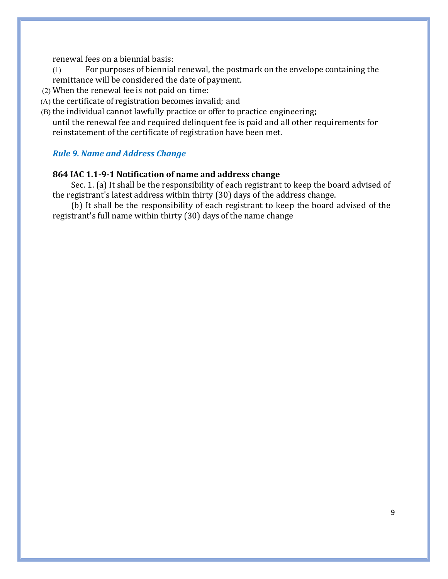renewal fees on a biennial basis:

(1) For purposes of biennial renewal, the postmark on the envelope containing the remittance will be considered the date of payment.

- (2) When the renewal fee is not paid on time:
- (A) the certificate of registration becomes invalid; and
- (B) the individual cannot lawfully practice or offer to practice engineering; until the renewal fee and required delinquent fee is paid and all other requirements for reinstatement of the certificate of registration have been met.

#### *Rule 9. Name and Address Change*

## **864 IAC 1.1‐9‐1 Notification of name and address change**

Sec. 1. (a) It shall be the responsibility of each registrant to keep the board advised of the registrant's latest address within thirty (30) days of the address change.

(b) It shall be the responsibility of each registrant to keep the board advised of the registrant's full name within thirty (30) days of the name change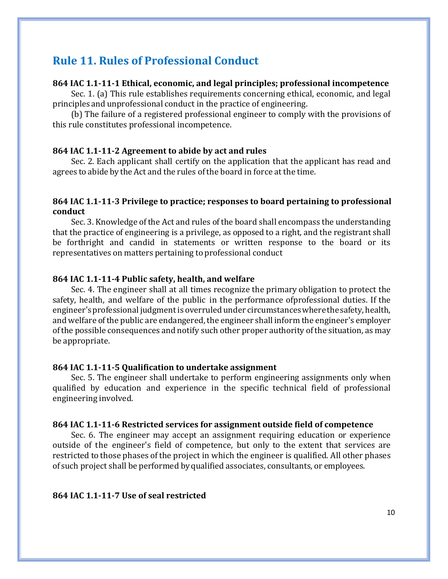# **Rule 11. Rules of Professional Conduct**

## **864 IAC 1.1‐11‐1 Ethical, economic, and legal principles; professional incompetence**

Sec. 1. (a) This rule establishes requirements concerning ethical, economic, and legal principles and unprofessional conduct in the practice of engineering.

(b) The failure of a registered professional engineer to comply with the provisions of this rule constitutes professional incompetence.

#### **864 IAC 1.1‐11‐2 Agreement to abide by act and rules**

Sec. 2. Each applicant shall certify on the application that the applicant has read and agrees to abide by the Act and the rules of the board in force at the time.

## **864 IAC 1.1‐11‐3 Privilege to practice; responses to board pertaining to professional conduct**

Sec. 3. Knowledge of the Act and rules of the board shall encompass the understanding that the practice of engineering is a privilege, as opposed to a right, and the registrant shall be forthright and candid in statements or written response to the board or its representatives on matters pertaining to professional conduct

#### **864 IAC 1.1‐11‐4 Public safety, health, and welfare**

Sec. 4. The engineer shall at all times recognize the primary obligation to protect the safety, health, and welfare of the public in the performance ofprofessional duties. If the engineer's professional judgment is overruled under circumstances where the safety, health, and welfare of the public are endangered, the engineer shall inform the engineer's employer of the possible consequences and notify such other proper authority of the situation, as may be appropriate.

#### **864 IAC 1.1‐11‐5 Qualification to undertake assignment**

Sec. 5. The engineer shall undertake to perform engineering assignments only when qualified by education and experience in the specific technical field of professional engineering involved.

#### **864 IAC 1.1‐11‐6 Restricted services for assignment outside field of competence**

Sec. 6. The engineer may accept an assignment requiring education or experience outside of the engineer's field of competence, but only to the extent that services are restricted to those phases of the project in which the engineer is qualified. All other phases of such project shall be performed by qualified associates, consultants, or employees.

#### **864 IAC 1.1‐11‐7 Use of seal restricted**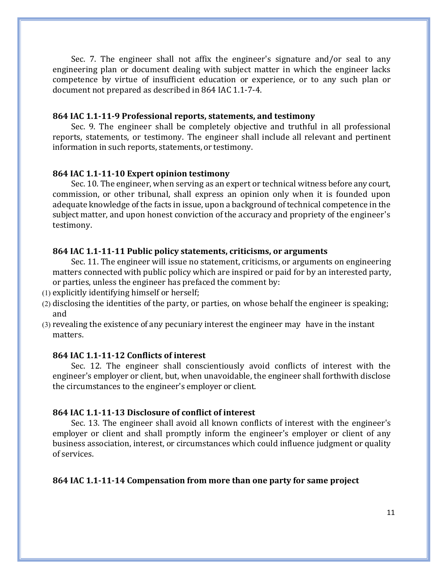Sec. 7. The engineer shall not affix the engineer's signature and/or seal to any engineering plan or document dealing with subject matter in which the engineer lacks competence by virtue of insufficient education or experience, or to any such plan or document not prepared as described in 864 IAC 1.1-7-4.

#### **864 IAC 1.1‐11‐9 Professional reports, statements, and testimony**

Sec. 9. The engineer shall be completely objective and truthful in all professional reports, statements, or testimony. The engineer shall include all relevant and pertinent information in such reports, statements, or testimony.

#### **864 IAC 1.1‐11‐10 Expert opinion testimony**

Sec. 10. The engineer, when serving as an expert or technical witness before any court, commission, or other tribunal, shall express an opinion only when it is founded upon adequate knowledge of the facts in issue, upon a background of technical competence in the subject matter, and upon honest conviction of the accuracy and propriety of the engineer's testimony.

#### **864 IAC 1.1‐11‐11 Public policy statements, criticisms, or arguments**

Sec. 11. The engineer will issue no statement, criticisms, or arguments on engineering matters connected with public policy which are inspired or paid for by an interested party, or parties, unless the engineer has prefaced the comment by:

- (1) explicitly identifying himself or herself;
- (2) disclosing the identities of the party, or parties, on whose behalf the engineer is speaking; and
- (3) revealing the existence of any pecuniary interest the engineer may have in the instant matters.

#### **864 IAC 1.1‐11‐12 Conflicts of interest**

Sec. 12. The engineer shall conscientiously avoid conflicts of interest with the engineer's employer or client, but, when unavoidable, the engineer shall forthwith disclose the circumstances to the engineer's employer or client.

#### **864 IAC 1.1‐11‐13 Disclosure of conflict of interest**

Sec. 13. The engineer shall avoid all known conflicts of interest with the engineer's employer or client and shall promptly inform the engineer's employer or client of any business association, interest, or circumstances which could influence judgment or quality of services.

#### **864 IAC 1.1‐11‐14 Compensation from more than one party for same project**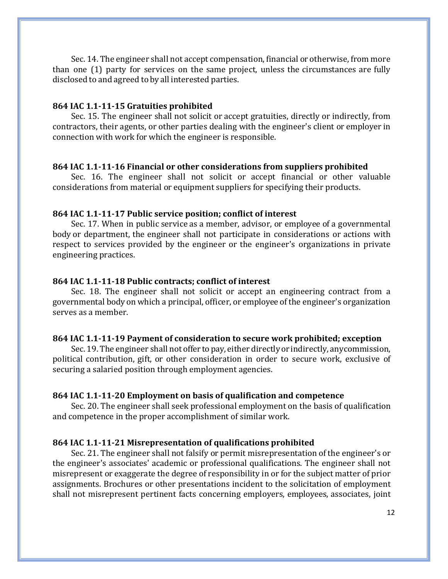Sec. 14. The engineer shall not accept compensation, financial or otherwise, from more than one (1) party for services on the same project, unless the circumstances are fully disclosed to and agreed to by all interested parties.

#### **864 IAC 1.1‐11‐15 Gratuities prohibited**

Sec. 15. The engineer shall not solicit or accept gratuities, directly or indirectly, from contractors, their agents, or other parties dealing with the engineer's client or employer in connection with work for which the engineer is responsible.

#### **864 IAC 1.1‐11‐16 Financial or other considerations from suppliers prohibited**

Sec. 16. The engineer shall not solicit or accept financial or other valuable considerations from material or equipment suppliers for specifying their products.

#### **864 IAC 1.1‐11‐17 Public service position; conflict of interest**

Sec. 17. When in public service as a member, advisor, or employee of a governmental body or department, the engineer shall not participate in considerations or actions with respect to services provided by the engineer or the engineer's organizations in private engineering practices.

#### **864 IAC 1.1‐11‐18 Public contracts; conflict of interest**

Sec. 18. The engineer shall not solicit or accept an engineering contract from a governmental body on which a principal, officer, or employee of the engineer's organization serves as a member.

#### **864 IAC 1.1‐11‐19 Payment of consideration to secure work prohibited; exception**

Sec. 19. The engineer shall not offer to pay, either directly or indirectly, anycommission, political contribution, gift, or other consideration in order to secure work, exclusive of securing a salaried position through employment agencies.

#### **864 IAC 1.1‐11‐20 Employment on basis of qualification and competence**

Sec. 20. The engineer shall seek professional employment on the basis of qualification and competence in the proper accomplishment of similar work.

#### **864 IAC 1.1‐11‐21 Misrepresentation of qualifications prohibited**

Sec. 21. The engineer shall not falsify or permit misrepresentation of the engineer's or the engineer's associates' academic or professional qualifications. The engineer shall not misrepresent or exaggerate the degree of responsibility in or for the subject matter of prior assignments. Brochures or other presentations incident to the solicitation of employment shall not misrepresent pertinent facts concerning employers, employees, associates, joint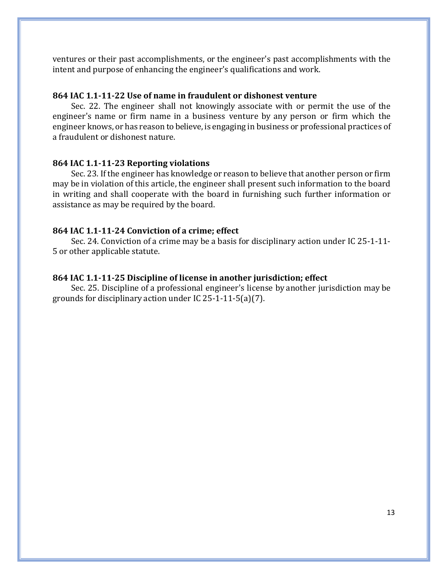ventures or their past accomplishments, or the engineer's past accomplishments with the intent and purpose of enhancing the engineer's qualifications and work.

#### **864 IAC 1.1‐11‐22 Use of name in fraudulent or dishonest venture**

Sec. 22. The engineer shall not knowingly associate with or permit the use of the engineer's name or firm name in a business venture by any person or firm which the engineer knows, or has reason to believe, is engaging in business or professional practices of a fraudulent or dishonest nature.

#### **864 IAC 1.1‐11‐23 Reporting violations**

Sec. 23. If the engineer has knowledge or reason to believe that another person or firm may be in violation of this article, the engineer shall present such information to the board in writing and shall cooperate with the board in furnishing such further information or assistance as may be required by the board.

## **864 IAC 1.1‐11‐24 Conviction of a crime; effect**

Sec. 24. Conviction of a crime may be a basis for disciplinary action under IC 25-1-11- 5 or other applicable statute.

#### **864 IAC 1.1‐11‐25 Discipline of license in another jurisdiction; effect**

Sec. 25. Discipline of a professional engineer's license by another jurisdiction may be grounds for disciplinary action under IC 25-1-11-5(a)(7).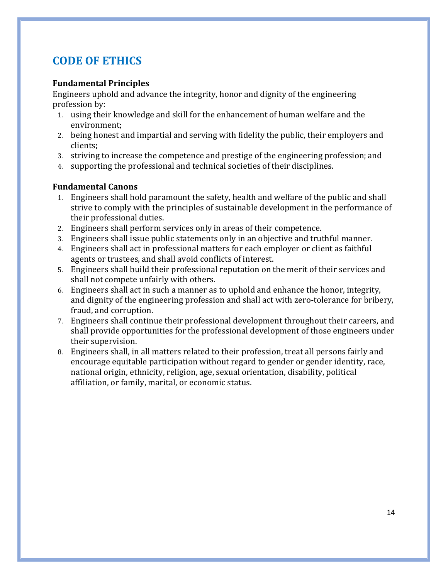# **CODE OF ETHICS**

# **Fundamental Principles**

Engineers uphold and advance the integrity, honor and dignity of the engineering profession by:

- 1. using their knowledge and skill for the enhancement of human welfare and the environment;
- 2. being honest and impartial and serving with fidelity the public, their employers and clients;
- 3. striving to increase the competence and prestige of the engineering profession; and
- 4. supporting the professional and technical societies of their disciplines.

# **Fundamental Canons**

- 1. Engineers shall hold paramount the safety, health and welfare of the public and shall strive to comply with the principles of sustainable development in the performance of their professional duties.
- 2. Engineers shall perform services only in areas of their competence.
- 3. Engineers shall issue public statements only in an objective and truthful manner.
- 4. Engineers shall act in professional matters for each employer or client as faithful agents or trustees, and shall avoid conflicts of interest.
- 5. Engineers shall build their professional reputation on the merit of their services and shall not compete unfairly with others.
- 6. Engineers shall act in such a manner as to uphold and enhance the honor, integrity, and dignity of the engineering profession and shall act with zero-tolerance for bribery, fraud, and corruption.
- 7. Engineers shall continue their professional development throughout their careers, and shall provide opportunities for the professional development of those engineers under their supervision.
- 8. Engineers shall, in all matters related to their profession, treat all persons fairly and encourage equitable participation without regard to gender or gender identity, race, national origin, ethnicity, religion, age, sexual orientation, disability, political affiliation, or family, marital, or economic status.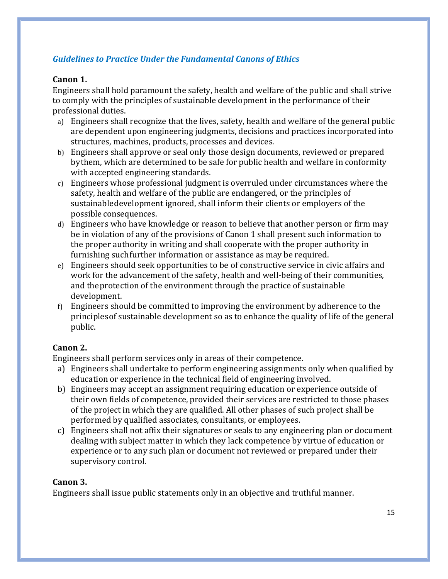# *Guidelines to Practice Under the Fundamental Canons of Ethics*

# **Canon 1.**

Engineers shall hold paramount the safety, health and welfare of the public and shall strive to comply with the principles of sustainable development in the performance of their professional duties.

- a) Engineers shall recognize that the lives, safety, health and welfare of the general public are dependent upon engineering judgments, decisions and practices incorporated into structures, machines, products, processes and devices.
- b) Engineers shall approve or seal only those design documents, reviewed or prepared by them, which are determined to be safe for public health and welfare in conformity with accepted engineering standards.
- c) Engineers whose professional judgment is overruled under circumstances where the safety, health and welfare of the public are endangered, or the principles of sustainable development ignored, shall inform their clients or employers of the possible consequences.
- d) Engineers who have knowledge or reason to believe that another person or firm may be in violation of any of the provisions of Canon 1 shall present such information to the proper authority in writing and shall cooperate with the proper authority in furnishing such further information or assistance as may be required.
- e) Engineers should seek opportunities to be of constructive service in civic affairs and work for the advancement of the safety, health and well-being of their communities, and the protection of the environment through the practice of sustainable development.
- f) Engineers should be committed to improving the environment by adherence to the principles of sustainable development so as to enhance the quality of life of the general public.

# **Canon 2.**

Engineers shall perform services only in areas of their competence.

- a) Engineers shall undertake to perform engineering assignments only when qualified by education or experience in the technical field of engineering involved.
- b) Engineers may accept an assignment requiring education or experience outside of their own fields of competence, provided their services are restricted to those phases of the project in which they are qualified. All other phases of such project shall be performed by qualified associates, consultants, or employees.
- c) Engineers shall not affix their signatures or seals to any engineering plan or document dealing with subject matter in which they lack competence by virtue of education or experience or to any such plan or document not reviewed or prepared under their supervisory control.

# **Canon 3.**

Engineers shall issue public statements only in an objective and truthful manner.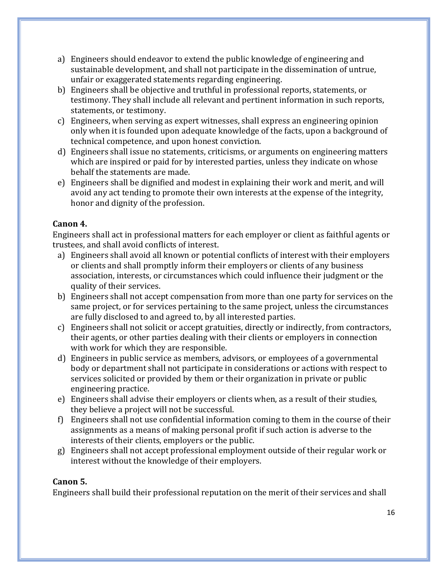- a) Engineers should endeavor to extend the public knowledge of engineering and sustainable development, and shall not participate in the dissemination of untrue, unfair or exaggerated statements regarding engineering.
- b) Engineers shall be objective and truthful in professional reports, statements, or testimony. They shall include all relevant and pertinent information in such reports, statements, or testimony.
- c) Engineers, when serving as expert witnesses, shall express an engineering opinion only when it is founded upon adequate knowledge of the facts, upon a background of technical competence, and upon honest conviction.
- d) Engineers shall issue no statements, criticisms, or arguments on engineering matters which are inspired or paid for by interested parties, unless they indicate on whose behalf the statements are made.
- e) Engineers shall be dignified and modest in explaining their work and merit, and will avoid any act tending to promote their own interests at the expense of the integrity, honor and dignity of the profession.

# **Canon 4.**

Engineers shall act in professional matters for each employer or client as faithful agents or trustees, and shall avoid conflicts of interest.

- a) Engineers shall avoid all known or potential conflicts of interest with their employers or clients and shall promptly inform their employers or clients of any business association, interests, or circumstances which could influence their judgment or the quality of their services.
- b) Engineers shall not accept compensation from more than one party for services on the same project, or for services pertaining to the same project, unless the circumstances are fully disclosed to and agreed to, by all interested parties.
- c) Engineers shall not solicit or accept gratuities, directly or indirectly, from contractors, their agents, or other parties dealing with their clients or employers in connection with work for which they are responsible.
- d) Engineers in public service as members, advisors, or employees of a governmental body or department shall not participate in considerations or actions with respect to services solicited or provided by them or their organization in private or public engineering practice.
- e) Engineers shall advise their employers or clients when, as a result of their studies, they believe a project will not be successful.
- f) Engineers shall not use confidential information coming to them in the course of their assignments as a means of making personal profit if such action is adverse to the interests of their clients, employers or the public.
- g) Engineers shall not accept professional employment outside of their regular work or interest without the knowledge of their employers.

# **Canon 5.**

Engineers shall build their professional reputation on the merit of their services and shall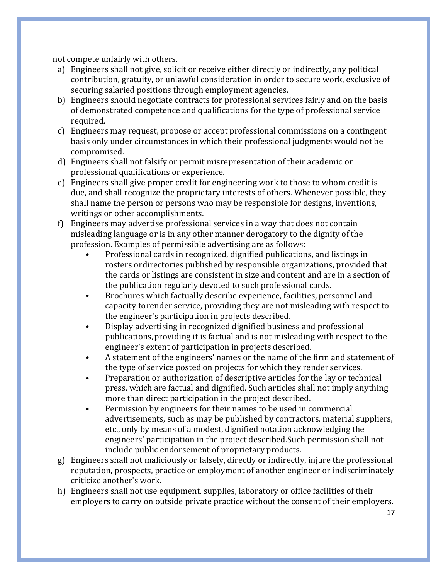not compete unfairly with others.

- a) Engineers shall not give, solicit or receive either directly or indirectly, any political contribution, gratuity, or unlawful consideration in order to secure work, exclusive of securing salaried positions through employment agencies.
- b) Engineers should negotiate contracts for professional services fairly and on the basis of demonstrated competence and qualifications for the type of professional service required.
- c) Engineers may request, propose or accept professional commissions on a contingent basis only under circumstances in which their professional judgments would not be compromised.
- d) Engineers shall not falsify or permit misrepresentation of their academic or professional qualifications or experience.
- e) Engineers shall give proper credit for engineering work to those to whom credit is due, and shall recognize the proprietary interests of others. Whenever possible, they shall name the person or persons who may be responsible for designs, inventions, writings or other accomplishments.
- f) Engineers may advertise professional services in a way that does not contain misleading language or is in any other manner derogatory to the dignity of the profession. Examples of permissible advertising are as follows:
	- Professional cards in recognized, dignified publications, and listings in rosters or directories published by responsible organizations, provided that the cards or listings are consistent in size and content and are in a section of the publication regularly devoted to such professional cards.
	- Brochures which factually describe experience, facilities, personnel and capacity to render service, providing they are not misleading with respect to the engineer's participation in projects described.
	- Display advertising in recognized dignified business and professional publications, providing it is factual and is not misleading with respect to the engineer's extent of participation in projects described.
	- A statement of the engineers' names or the name of the firm and statement of the type of service posted on projects for which they render services.
	- Preparation or authorization of descriptive articles for the lay or technical press, which are factual and dignified. Such articles shall not imply anything more than direct participation in the project described.
	- Permission by engineers for their names to be used in commercial advertisements, such as may be published by contractors, material suppliers, etc., only by means of a modest, dignified notation acknowledging the engineers' participation in the project described. Such permission shall not include public endorsement of proprietary products.
- g) Engineers shall not maliciously or falsely, directly or indirectly, injure the professional reputation, prospects, practice or employment of another engineer or indiscriminately criticize another's work.
- h) Engineers shall not use equipment, supplies, laboratory or office facilities of their employers to carry on outside private practice without the consent of their employers.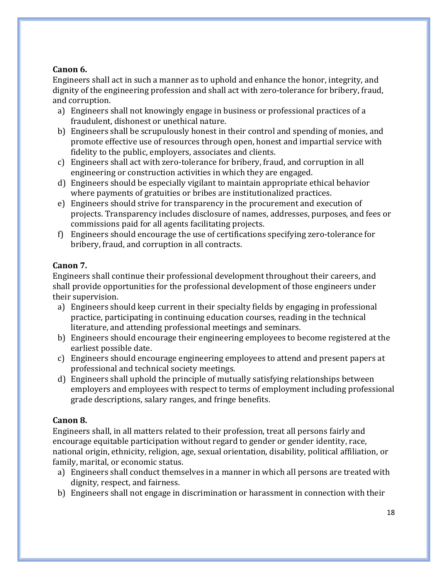# **Canon 6.**

Engineers shall act in such a manner as to uphold and enhance the honor, integrity, and dignity of the engineering profession and shall act with zero-tolerance for bribery, fraud, and corruption.

- a) Engineers shall not knowingly engage in business or professional practices of a fraudulent, dishonest or unethical nature.
- b) Engineers shall be scrupulously honest in their control and spending of monies, and promote effective use of resources through open, honest and impartial service with fidelity to the public, employers, associates and clients.
- c) Engineers shall act with zero-tolerance for bribery, fraud, and corruption in all engineering or construction activities in which they are engaged.
- d) Engineers should be especially vigilant to maintain appropriate ethical behavior where payments of gratuities or bribes are institutionalized practices.
- e) Engineers should strive for transparency in the procurement and execution of projects. Transparency includes disclosure of names, addresses, purposes, and fees or commissions paid for all agents facilitating projects.
- f) Engineers should encourage the use of certifications specifying zero-tolerance for bribery, fraud, and corruption in all contracts.

# **Canon 7.**

Engineers shall continue their professional development throughout their careers, and shall provide opportunities for the professional development of those engineers under their supervision.

- a) Engineers should keep current in their specialty fields by engaging in professional practice, participating in continuing education courses, reading in the technical literature, and attending professional meetings and seminars.
- b) Engineers should encourage their engineering employees to become registered at the earliest possible date.
- c) Engineers should encourage engineering employees to attend and present papers at professional and technical society meetings.
- d) Engineers shall uphold the principle of mutually satisfying relationships between employers and employees with respect to terms of employment including professional grade descriptions, salary ranges, and fringe benefits.

# **Canon 8.**

Engineers shall, in all matters related to their profession, treat all persons fairly and encourage equitable participation without regard to gender or gender identity, race, national origin, ethnicity, religion, age, sexual orientation, disability, political affiliation, or family, marital, or economic status.

- a) Engineers shall conduct themselves in a manner in which all persons are treated with dignity, respect, and fairness.
- b) Engineers shall not engage in discrimination or harassment in connection with their